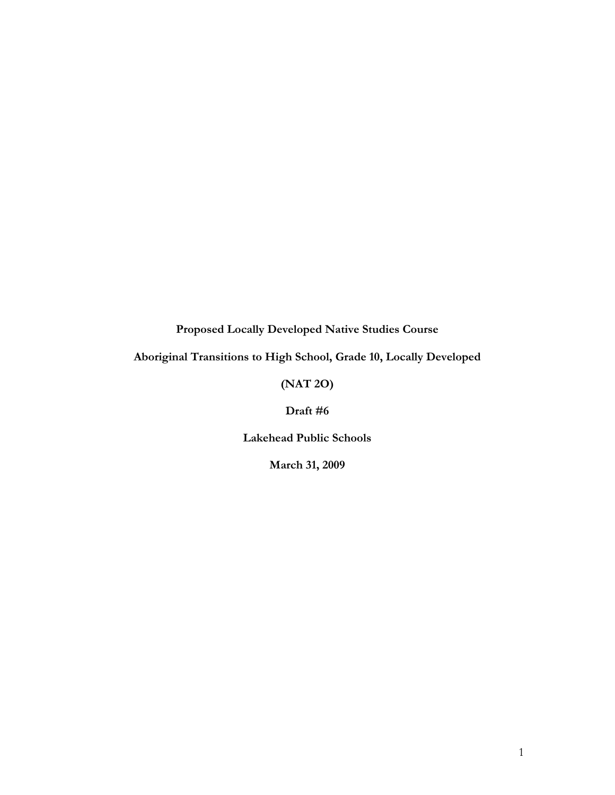**Proposed Locally Developed Native Studies Course** 

**Aboriginal Transitions to High School, Grade 10, Locally Developed** 

## **(NAT 2O)**

**Draft #6** 

**Lakehead Public Schools** 

**March 31, 2009**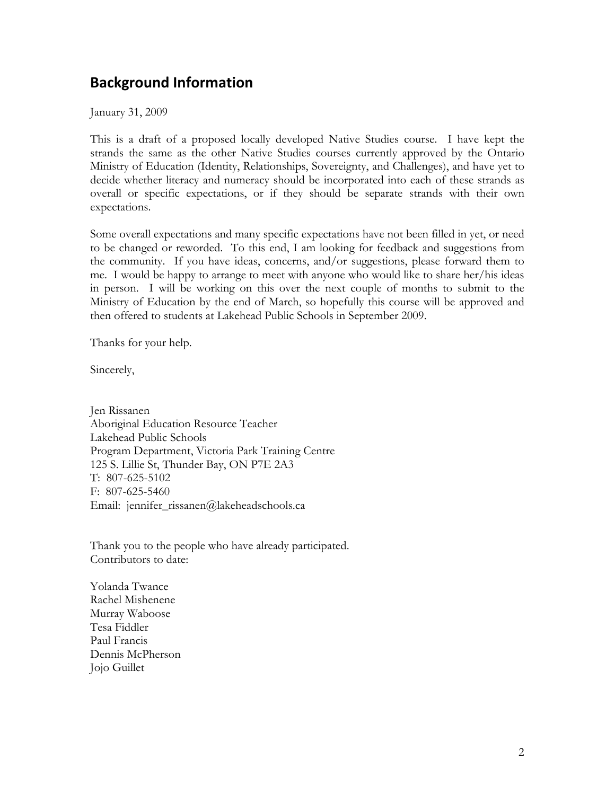# **Background Information**

January 31, 2009

This is a draft of a proposed locally developed Native Studies course. I have kept the strands the same as the other Native Studies courses currently approved by the Ontario Ministry of Education (Identity, Relationships, Sovereignty, and Challenges), and have yet to decide whether literacy and numeracy should be incorporated into each of these strands as overall or specific expectations, or if they should be separate strands with their own expectations.

Some overall expectations and many specific expectations have not been filled in yet, or need to be changed or reworded. To this end, I am looking for feedback and suggestions from the community. If you have ideas, concerns, and/or suggestions, please forward them to me. I would be happy to arrange to meet with anyone who would like to share her/his ideas in person. I will be working on this over the next couple of months to submit to the Ministry of Education by the end of March, so hopefully this course will be approved and then offered to students at Lakehead Public Schools in September 2009.

Thanks for your help.

Sincerely,

Jen Rissanen Aboriginal Education Resource Teacher Lakehead Public Schools Program Department, Victoria Park Training Centre 125 S. Lillie St, Thunder Bay, ON P7E 2A3 T: 807-625-5102 F: 807-625-5460 Email: jennifer\_rissanen@lakeheadschools.ca

Thank you to the people who have already participated. Contributors to date:

Yolanda Twance Rachel Mishenene Murray Waboose Tesa Fiddler Paul Francis Dennis McPherson Jojo Guillet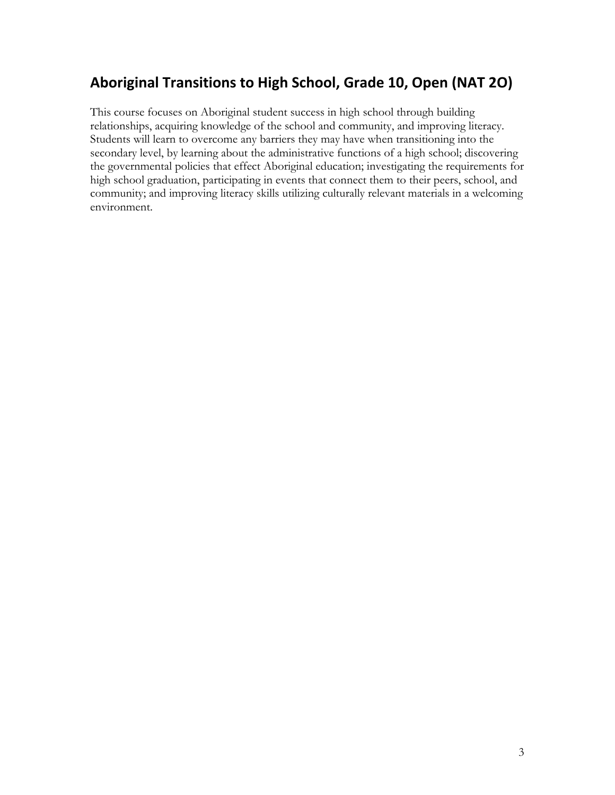# **Aboriginal Transitions to High School, Grade 10, Open (NAT 2O)**

This course focuses on Aboriginal student success in high school through building relationships, acquiring knowledge of the school and community, and improving literacy. Students will learn to overcome any barriers they may have when transitioning into the secondary level, by learning about the administrative functions of a high school; discovering the governmental policies that effect Aboriginal education; investigating the requirements for high school graduation, participating in events that connect them to their peers, school, and community; and improving literacy skills utilizing culturally relevant materials in a welcoming environment.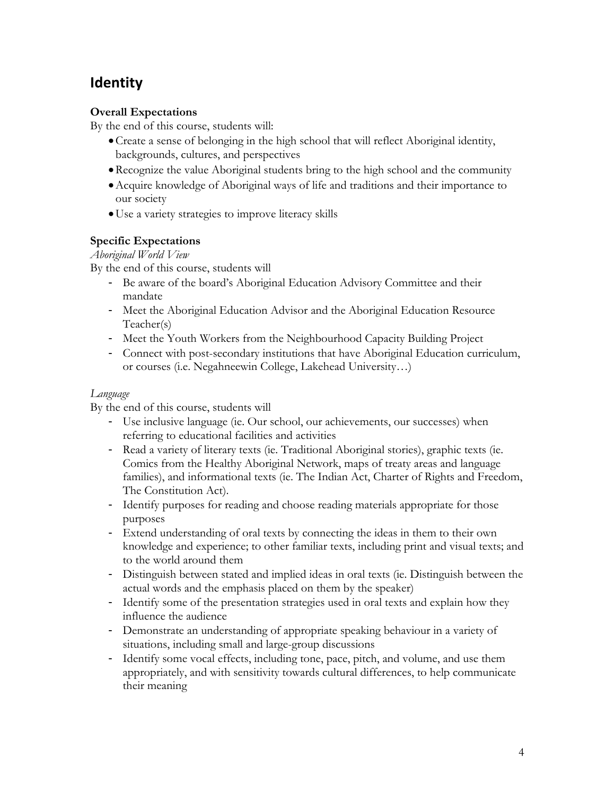# **Identity**

### **Overall Expectations**

By the end of this course, students will:

- Create a sense of belonging in the high school that will reflect Aboriginal identity, backgrounds, cultures, and perspectives
- Recognize the value Aboriginal students bring to the high school and the community
- Acquire knowledge of Aboriginal ways of life and traditions and their importance to our society
- Use a variety strategies to improve literacy skills

## **Specific Expectations**

#### *Aboriginal World View*

By the end of this course, students will

- Be aware of the board's Aboriginal Education Advisory Committee and their mandate
- Meet the Aboriginal Education Advisor and the Aboriginal Education Resource Teacher(s)
- Meet the Youth Workers from the Neighbourhood Capacity Building Project
- Connect with post-secondary institutions that have Aboriginal Education curriculum, or courses (i.e. Negahneewin College, Lakehead University…)

#### *Language*

- Use inclusive language (ie. Our school, our achievements, our successes) when referring to educational facilities and activities
- Read a variety of literary texts (ie. Traditional Aboriginal stories), graphic texts (ie. Comics from the Healthy Aboriginal Network, maps of treaty areas and language families), and informational texts (ie. The Indian Act, Charter of Rights and Freedom, The Constitution Act).
- Identify purposes for reading and choose reading materials appropriate for those purposes
- Extend understanding of oral texts by connecting the ideas in them to their own knowledge and experience; to other familiar texts, including print and visual texts; and to the world around them
- Distinguish between stated and implied ideas in oral texts (ie. Distinguish between the actual words and the emphasis placed on them by the speaker)
- Identify some of the presentation strategies used in oral texts and explain how they influence the audience
- Demonstrate an understanding of appropriate speaking behaviour in a variety of situations, including small and large-group discussions
- Identify some vocal effects, including tone, pace, pitch, and volume, and use them appropriately, and with sensitivity towards cultural differences, to help communicate their meaning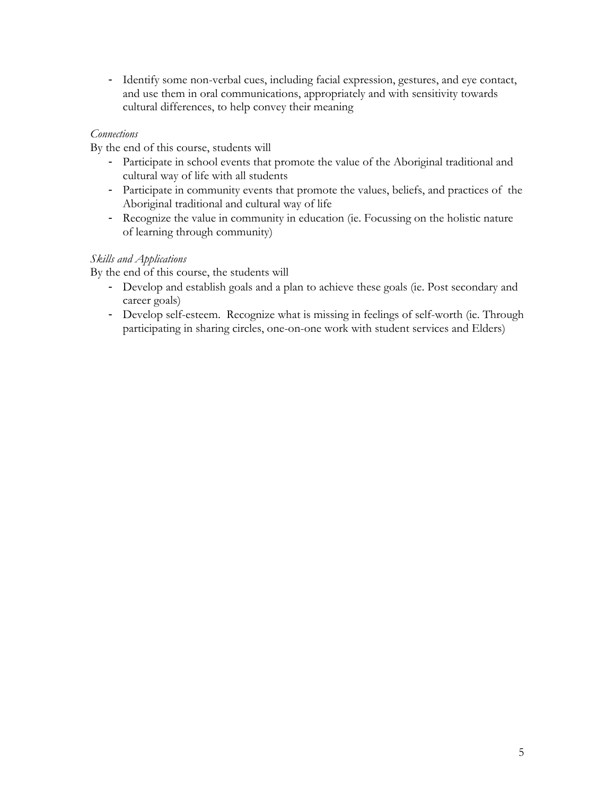- Identify some non-verbal cues, including facial expression, gestures, and eye contact, and use them in oral communications, appropriately and with sensitivity towards cultural differences, to help convey their meaning

#### *Connections*

By the end of this course, students will

- Participate in school events that promote the value of the Aboriginal traditional and cultural way of life with all students
- Participate in community events that promote the values, beliefs, and practices of the Aboriginal traditional and cultural way of life
- Recognize the value in community in education (ie. Focussing on the holistic nature of learning through community)

#### *Skills and Applications*

- Develop and establish goals and a plan to achieve these goals (ie. Post secondary and career goals)
- Develop self-esteem. Recognize what is missing in feelings of self-worth (ie. Through participating in sharing circles, one-on-one work with student services and Elders)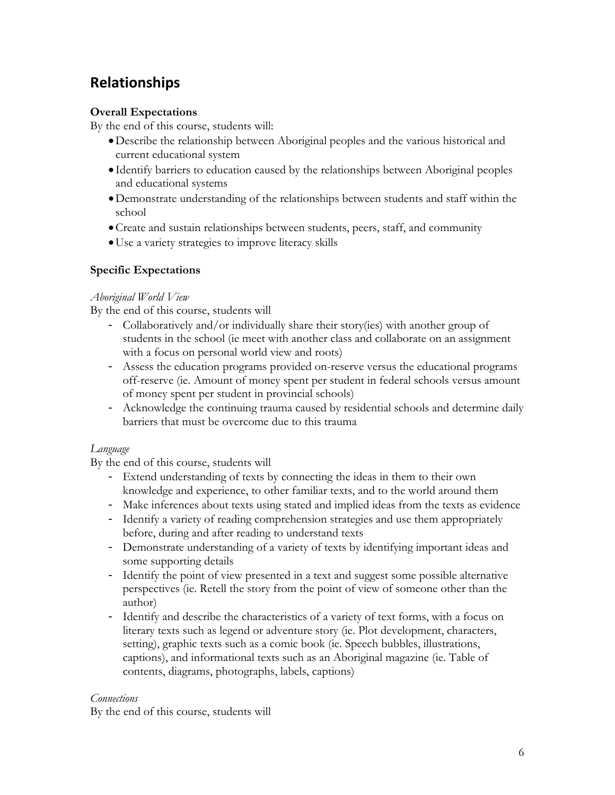# **Relationships**

### **Overall Expectations**

By the end of this course, students will:

- Describe the relationship between Aboriginal peoples and the various historical and current educational system
- Identify barriers to education caused by the relationships between Aboriginal peoples and educational systems
- Demonstrate understanding of the relationships between students and staff within the school
- Create and sustain relationships between students, peers, staff, and community
- Use a variety strategies to improve literacy skills

## **Specific Expectations**

#### *Aboriginal World View*

By the end of this course, students will

- Collaboratively and/or individually share their story(ies) with another group of students in the school (ie meet with another class and collaborate on an assignment with a focus on personal world view and roots)
- Assess the education programs provided on-reserve versus the educational programs off-reserve (ie. Amount of money spent per student in federal schools versus amount of money spent per student in provincial schools)
- Acknowledge the continuing trauma caused by residential schools and determine daily barriers that must be overcome due to this trauma

#### *Language*

By the end of this course, students will

- Extend understanding of texts by connecting the ideas in them to their own knowledge and experience, to other familiar texts, and to the world around them
- Make inferences about texts using stated and implied ideas from the texts as evidence
- Identify a variety of reading comprehension strategies and use them appropriately before, during and after reading to understand texts
- Demonstrate understanding of a variety of texts by identifying important ideas and some supporting details
- Identify the point of view presented in a text and suggest some possible alternative perspectives (ie. Retell the story from the point of view of someone other than the author)
- Identify and describe the characteristics of a variety of text forms, with a focus on literary texts such as legend or adventure story (ie. Plot development, characters, setting), graphic texts such as a comic book (ie. Speech bubbles, illustrations, captions), and informational texts such as an Aboriginal magazine (ie. Table of contents, diagrams, photographs, labels, captions)

#### *Connections*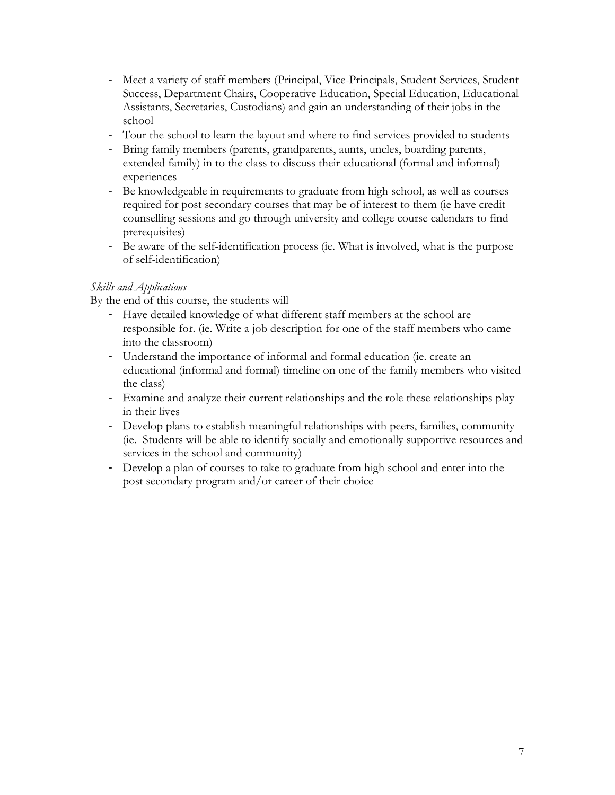- Meet a variety of staff members (Principal, Vice-Principals, Student Services, Student Success, Department Chairs, Cooperative Education, Special Education, Educational Assistants, Secretaries, Custodians) and gain an understanding of their jobs in the school
- Tour the school to learn the layout and where to find services provided to students
- Bring family members (parents, grandparents, aunts, uncles, boarding parents, extended family) in to the class to discuss their educational (formal and informal) experiences
- Be knowledgeable in requirements to graduate from high school, as well as courses required for post secondary courses that may be of interest to them (ie have credit counselling sessions and go through university and college course calendars to find prerequisites)
- Be aware of the self-identification process (ie. What is involved, what is the purpose of self-identification)

#### *Skills and Applications*

- Have detailed knowledge of what different staff members at the school are responsible for. (ie. Write a job description for one of the staff members who came into the classroom)
- Understand the importance of informal and formal education (ie. create an educational (informal and formal) timeline on one of the family members who visited the class)
- Examine and analyze their current relationships and the role these relationships play in their lives
- Develop plans to establish meaningful relationships with peers, families, community (ie. Students will be able to identify socially and emotionally supportive resources and services in the school and community)
- Develop a plan of courses to take to graduate from high school and enter into the post secondary program and/or career of their choice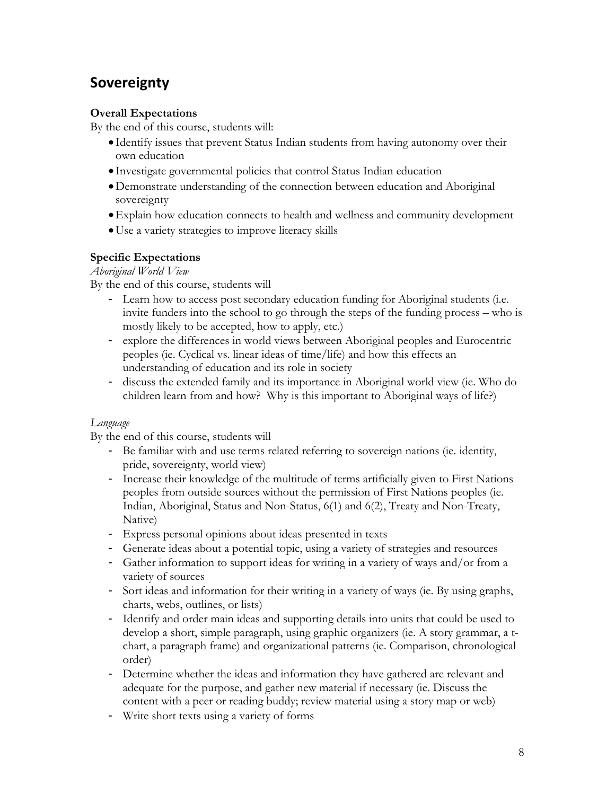# **Sovereignty**

## **Overall Expectations**

By the end of this course, students will:

- Identify issues that prevent Status Indian students from having autonomy over their own education
- Investigate governmental policies that control Status Indian education
- Demonstrate understanding of the connection between education and Aboriginal sovereignty
- Explain how education connects to health and wellness and community development
- Use a variety strategies to improve literacy skills

#### **Specific Expectations**

*Aboriginal World View*

By the end of this course, students will

- Learn how to access post secondary education funding for Aboriginal students (i.e. invite funders into the school to go through the steps of the funding process – who is mostly likely to be accepted, how to apply, etc.)
- explore the differences in world views between Aboriginal peoples and Eurocentric peoples (ie. Cyclical vs. linear ideas of time/life) and how this effects an understanding of education and its role in society
- discuss the extended family and its importance in Aboriginal world view (ie. Who do children learn from and how? Why is this important to Aboriginal ways of life?)

#### *Language*

- Be familiar with and use terms related referring to sovereign nations (ie. identity, pride, sovereignty, world view)
- Increase their knowledge of the multitude of terms artificially given to First Nations peoples from outside sources without the permission of First Nations peoples (ie. Indian, Aboriginal, Status and Non-Status, 6(1) and 6(2), Treaty and Non-Treaty, Native)
- Express personal opinions about ideas presented in texts
- Generate ideas about a potential topic, using a variety of strategies and resources
- Gather information to support ideas for writing in a variety of ways and/or from a variety of sources
- Sort ideas and information for their writing in a variety of ways (ie. By using graphs, charts, webs, outlines, or lists)
- Identify and order main ideas and supporting details into units that could be used to develop a short, simple paragraph, using graphic organizers (ie. A story grammar, a tchart, a paragraph frame) and organizational patterns (ie. Comparison, chronological order)
- Determine whether the ideas and information they have gathered are relevant and adequate for the purpose, and gather new material if necessary (ie. Discuss the content with a peer or reading buddy; review material using a story map or web)
- Write short texts using a variety of forms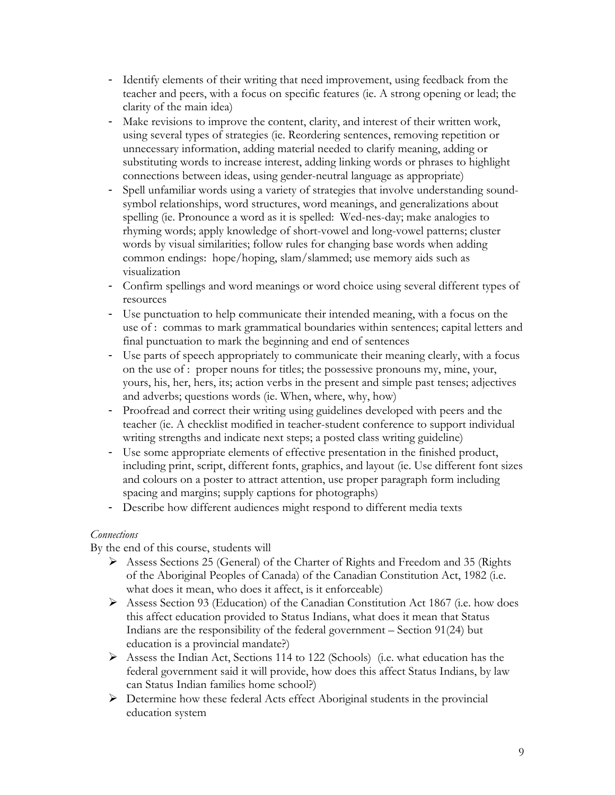- Identify elements of their writing that need improvement, using feedback from the teacher and peers, with a focus on specific features (ie. A strong opening or lead; the clarity of the main idea)
- Make revisions to improve the content, clarity, and interest of their written work, using several types of strategies (ie. Reordering sentences, removing repetition or unnecessary information, adding material needed to clarify meaning, adding or substituting words to increase interest, adding linking words or phrases to highlight connections between ideas, using gender-neutral language as appropriate)
- Spell unfamiliar words using a variety of strategies that involve understanding soundsymbol relationships, word structures, word meanings, and generalizations about spelling (ie. Pronounce a word as it is spelled: Wed-nes-day; make analogies to rhyming words; apply knowledge of short-vowel and long-vowel patterns; cluster words by visual similarities; follow rules for changing base words when adding common endings: hope/hoping, slam/slammed; use memory aids such as visualization
- Confirm spellings and word meanings or word choice using several different types of resources
- Use punctuation to help communicate their intended meaning, with a focus on the use of : commas to mark grammatical boundaries within sentences; capital letters and final punctuation to mark the beginning and end of sentences
- Use parts of speech appropriately to communicate their meaning clearly, with a focus on the use of : proper nouns for titles; the possessive pronouns my, mine, your, yours, his, her, hers, its; action verbs in the present and simple past tenses; adjectives and adverbs; questions words (ie. When, where, why, how)
- Proofread and correct their writing using guidelines developed with peers and the teacher (ie. A checklist modified in teacher-student conference to support individual writing strengths and indicate next steps; a posted class writing guideline)
- Use some appropriate elements of effective presentation in the finished product, including print, script, different fonts, graphics, and layout (ie. Use different font sizes and colours on a poster to attract attention, use proper paragraph form including spacing and margins; supply captions for photographs)
- Describe how different audiences might respond to different media texts

#### *Connections*

- Assess Sections 25 (General) of the Charter of Rights and Freedom and 35 (Rights of the Aboriginal Peoples of Canada) of the Canadian Constitution Act, 1982 (i.e. what does it mean, who does it affect, is it enforceable)
- $\triangleright$  Assess Section 93 (Education) of the Canadian Constitution Act 1867 (i.e. how does this affect education provided to Status Indians, what does it mean that Status Indians are the responsibility of the federal government – Section 91(24) but education is a provincial mandate?)
- Assess the Indian Act, Sections 114 to 122 (Schools) (i.e. what education has the federal government said it will provide, how does this affect Status Indians, by law can Status Indian families home school?)
- Determine how these federal Acts effect Aboriginal students in the provincial education system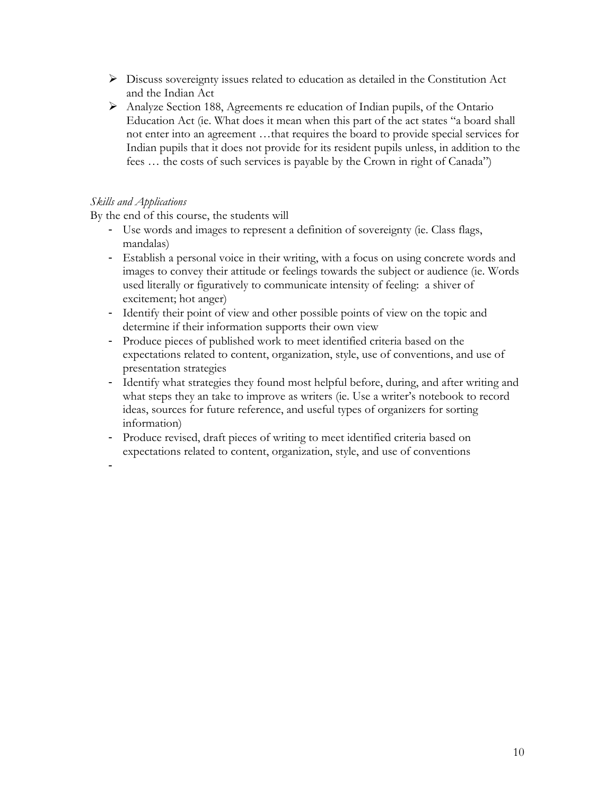- $\triangleright$  Discuss sovereignty issues related to education as detailed in the Constitution Act and the Indian Act
- Analyze Section 188, Agreements re education of Indian pupils, of the Ontario Education Act (ie. What does it mean when this part of the act states "a board shall not enter into an agreement …that requires the board to provide special services for Indian pupils that it does not provide for its resident pupils unless, in addition to the fees … the costs of such services is payable by the Crown in right of Canada")

#### *Skills and Applications*

By the end of this course, the students will

- Use words and images to represent a definition of sovereignty (ie. Class flags, mandalas)
- Establish a personal voice in their writing, with a focus on using concrete words and images to convey their attitude or feelings towards the subject or audience (ie. Words used literally or figuratively to communicate intensity of feeling: a shiver of excitement; hot anger)
- Identify their point of view and other possible points of view on the topic and determine if their information supports their own view
- Produce pieces of published work to meet identified criteria based on the expectations related to content, organization, style, use of conventions, and use of presentation strategies
- Identify what strategies they found most helpful before, during, and after writing and what steps they an take to improve as writers (ie. Use a writer's notebook to record ideas, sources for future reference, and useful types of organizers for sorting information)
- Produce revised, draft pieces of writing to meet identified criteria based on expectations related to content, organization, style, and use of conventions

-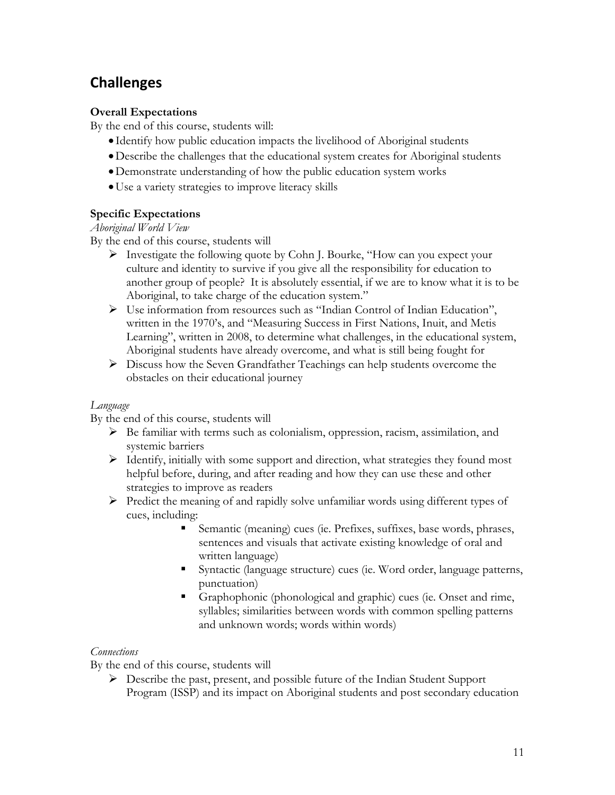# **Challenges**

## **Overall Expectations**

By the end of this course, students will:

- Identify how public education impacts the livelihood of Aboriginal students
- Describe the challenges that the educational system creates for Aboriginal students
- Demonstrate understanding of how the public education system works
- Use a variety strategies to improve literacy skills

#### **Specific Expectations**

*Aboriginal World View*

By the end of this course, students will

- Investigate the following quote by Cohn J. Bourke, "How can you expect your culture and identity to survive if you give all the responsibility for education to another group of people? It is absolutely essential, if we are to know what it is to be Aboriginal, to take charge of the education system."
- Use information from resources such as "Indian Control of Indian Education", written in the 1970's, and "Measuring Success in First Nations, Inuit, and Metis Learning", written in 2008, to determine what challenges, in the educational system, Aboriginal students have already overcome, and what is still being fought for
- Discuss how the Seven Grandfather Teachings can help students overcome the obstacles on their educational journey

#### *Language*

By the end of this course, students will

- $\triangleright$  Be familiar with terms such as colonialism, oppression, racism, assimilation, and systemic barriers
- $\triangleright$  Identify, initially with some support and direction, what strategies they found most helpful before, during, and after reading and how they can use these and other strategies to improve as readers
- $\triangleright$  Predict the meaning of and rapidly solve unfamiliar words using different types of cues, including:
	- Semantic (meaning) cues (ie. Prefixes, suffixes, base words, phrases, sentences and visuals that activate existing knowledge of oral and written language)
	- Syntactic (language structure) cues (ie. Word order, language patterns, punctuation)
	- Graphophonic (phonological and graphic) cues (ie. Onset and rime, syllables; similarities between words with common spelling patterns and unknown words; words within words)

#### *Connections*

By the end of this course, students will

 Describe the past, present, and possible future of the Indian Student Support Program (ISSP) and its impact on Aboriginal students and post secondary education